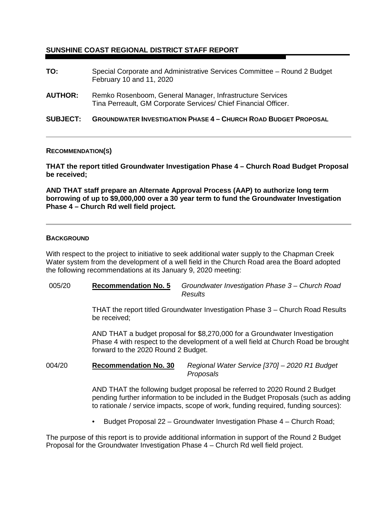# **SUNSHINE COAST REGIONAL DISTRICT STAFF REPORT**

| <b>AUTHOR:</b>  | February 10 and 11, 2020<br>Remko Rosenboom, General Manager, Infrastructure Services<br>Tina Perreault, GM Corporate Services/ Chief Financial Officer. |
|-----------------|----------------------------------------------------------------------------------------------------------------------------------------------------------|
| <b>SUBJECT:</b> | <b>GROUNDWATER INVESTIGATION PHASE 4 - CHURCH ROAD BUDGET PROPOSAL</b>                                                                                   |

### **RECOMMENDATION(S)**

**THAT the report titled Groundwater Investigation Phase 4 – Church Road Budget Proposal be received;**

**AND THAT staff prepare an Alternate Approval Process (AAP) to authorize long term borrowing of up to \$9,000,000 over a 30 year term to fund the Groundwater Investigation Phase 4 – Church Rd well field project.**

#### **BACKGROUND**

With respect to the project to initiative to seek additional water supply to the Chapman Creek Water system from the development of a well field in the Church Road area the Board adopted the following recommendations at its January 9, 2020 meeting:

005/20 **Recommendation No. 5** *Groundwater Investigation Phase 3 – Church Road Results*

> THAT the report titled Groundwater Investigation Phase 3 – Church Road Results be received;

AND THAT a budget proposal for \$8,270,000 for a Groundwater Investigation Phase 4 with respect to the development of a well field at Church Road be brought forward to the 2020 Round 2 Budget.

004/20 **Recommendation No. 30** *Regional Water Service [370] – 2020 R1 Budget Proposals*

> AND THAT the following budget proposal be referred to 2020 Round 2 Budget pending further information to be included in the Budget Proposals (such as adding to rationale / service impacts, scope of work, funding required, funding sources):

• Budget Proposal 22 – Groundwater Investigation Phase 4 – Church Road;

The purpose of this report is to provide additional information in support of the Round 2 Budget Proposal for the Groundwater Investigation Phase 4 – Church Rd well field project.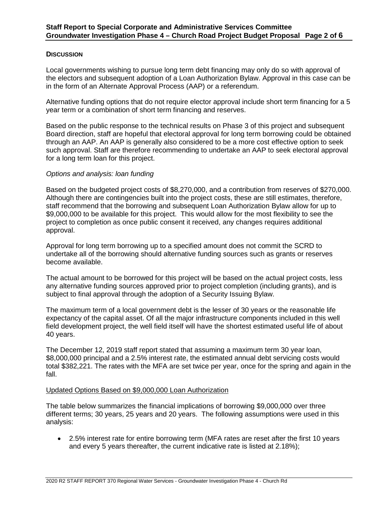## **DISCUSSION**

Local governments wishing to pursue long term debt financing may only do so with approval of the electors and subsequent adoption of a Loan Authorization Bylaw. Approval in this case can be in the form of an Alternate Approval Process (AAP) or a referendum.

Alternative funding options that do not require elector approval include short term financing for a 5 year term or a combination of short term financing and reserves.

Based on the public response to the technical results on Phase 3 of this project and subsequent Board direction, staff are hopeful that electoral approval for long term borrowing could be obtained through an AAP. An AAP is generally also considered to be a more cost effective option to seek such approval. Staff are therefore recommending to undertake an AAP to seek electoral approval for a long term loan for this project.

## *Options and analysis: loan funding*

Based on the budgeted project costs of \$8,270,000, and a contribution from reserves of \$270,000. Although there are contingencies built into the project costs, these are still estimates, therefore, staff recommend that the borrowing and subsequent Loan Authorization Bylaw allow for up to \$9,000,000 to be available for this project. This would allow for the most flexibility to see the project to completion as once public consent it received, any changes requires additional approval.

Approval for long term borrowing up to a specified amount does not commit the SCRD to undertake all of the borrowing should alternative funding sources such as grants or reserves become available.

The actual amount to be borrowed for this project will be based on the actual project costs, less any alternative funding sources approved prior to project completion (including grants), and is subject to final approval through the adoption of a Security Issuing Bylaw.

The maximum term of a local government debt is the lesser of 30 years or the reasonable life expectancy of the capital asset. Of all the major infrastructure components included in this well field development project, the well field itself will have the shortest estimated useful life of about 40 years.

The December 12, 2019 staff report stated that assuming a maximum term 30 year loan, \$8,000,000 principal and a 2.5% interest rate, the estimated annual debt servicing costs would total \$382,221. The rates with the MFA are set twice per year, once for the spring and again in the fall.

### Updated Options Based on \$9,000,000 Loan Authorization

The table below summarizes the financial implications of borrowing \$9,000,000 over three different terms; 30 years, 25 years and 20 years. The following assumptions were used in this analysis:

• 2.5% interest rate for entire borrowing term (MFA rates are reset after the first 10 years and every 5 years thereafter, the current indicative rate is listed at 2.18%);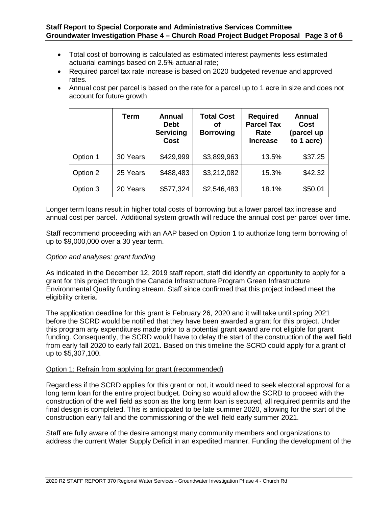- Total cost of borrowing is calculated as estimated interest payments less estimated actuarial earnings based on 2.5% actuarial rate;
- Required parcel tax rate increase is based on 2020 budgeted revenue and approved rates.
- Annual cost per parcel is based on the rate for a parcel up to 1 acre in size and does not account for future growth

|          | Term     | Annual<br><b>Debt</b><br><b>Servicing</b><br><b>Cost</b> | <b>Total Cost</b><br>οf<br><b>Borrowing</b> | <b>Required</b><br><b>Parcel Tax</b><br>Rate<br><b>Increase</b> | <b>Annual</b><br>Cost<br>(parcel up<br>to 1 acre) |
|----------|----------|----------------------------------------------------------|---------------------------------------------|-----------------------------------------------------------------|---------------------------------------------------|
| Option 1 | 30 Years | \$429,999                                                | \$3,899,963                                 | 13.5%                                                           | \$37.25                                           |
| Option 2 | 25 Years | \$488,483                                                | \$3,212,082                                 | 15.3%                                                           | \$42.32                                           |
| Option 3 | 20 Years | \$577,324                                                | \$2,546,483                                 | 18.1%                                                           | \$50.01                                           |

Longer term loans result in higher total costs of borrowing but a lower parcel tax increase and annual cost per parcel. Additional system growth will reduce the annual cost per parcel over time.

Staff recommend proceeding with an AAP based on Option 1 to authorize long term borrowing of up to \$9,000,000 over a 30 year term.

# *Option and analyses: grant funding*

As indicated in the December 12, 2019 staff report, staff did identify an opportunity to apply for a grant for this project through the Canada Infrastructure Program Green Infrastructure Environmental Quality funding stream. Staff since confirmed that this project indeed meet the eligibility criteria.

The application deadline for this grant is February 26, 2020 and it will take until spring 2021 before the SCRD would be notified that they have been awarded a grant for this project. Under this program any expenditures made prior to a potential grant award are not eligible for grant funding. Consequently, the SCRD would have to delay the start of the construction of the well field from early fall 2020 to early fall 2021. Based on this timeline the SCRD could apply for a grant of up to \$5,307,100.

## Option 1: Refrain from applying for grant (recommended)

Regardless if the SCRD applies for this grant or not, it would need to seek electoral approval for a long term loan for the entire project budget. Doing so would allow the SCRD to proceed with the construction of the well field as soon as the long term loan is secured, all required permits and the final design is completed. This is anticipated to be late summer 2020, allowing for the start of the construction early fall and the commissioning of the well field early summer 2021.

Staff are fully aware of the desire amongst many community members and organizations to address the current Water Supply Deficit in an expedited manner. Funding the development of the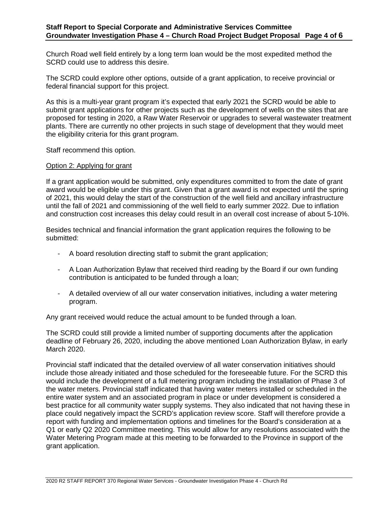Church Road well field entirely by a long term loan would be the most expedited method the SCRD could use to address this desire.

The SCRD could explore other options, outside of a grant application, to receive provincial or federal financial support for this project.

As this is a multi-year grant program it's expected that early 2021 the SCRD would be able to submit grant applications for other projects such as the development of wells on the sites that are proposed for testing in 2020, a Raw Water Reservoir or upgrades to several wastewater treatment plants. There are currently no other projects in such stage of development that they would meet the eligibility criteria for this grant program.

Staff recommend this option.

## Option 2: Applying for grant

If a grant application would be submitted, only expenditures committed to from the date of grant award would be eligible under this grant. Given that a grant award is not expected until the spring of 2021, this would delay the start of the construction of the well field and ancillary infrastructure until the fall of 2021 and commissioning of the well field to early summer 2022. Due to inflation and construction cost increases this delay could result in an overall cost increase of about 5-10%.

Besides technical and financial information the grant application requires the following to be submitted:

- A board resolution directing staff to submit the grant application;
- A Loan Authorization Bylaw that received third reading by the Board if our own funding contribution is anticipated to be funded through a loan;
- A detailed overview of all our water conservation initiatives, including a water metering program.

Any grant received would reduce the actual amount to be funded through a loan.

The SCRD could still provide a limited number of supporting documents after the application deadline of February 26, 2020, including the above mentioned Loan Authorization Bylaw, in early March 2020.

Provincial staff indicated that the detailed overview of all water conservation initiatives should include those already initiated and those scheduled for the foreseeable future. For the SCRD this would include the development of a full metering program including the installation of Phase 3 of the water meters. Provincial staff indicated that having water meters installed or scheduled in the entire water system and an associated program in place or under development is considered a best practice for all community water supply systems. They also indicated that not having these in place could negatively impact the SCRD's application review score. Staff will therefore provide a report with funding and implementation options and timelines for the Board's consideration at a Q1 or early Q2 2020 Committee meeting. This would allow for any resolutions associated with the Water Metering Program made at this meeting to be forwarded to the Province in support of the grant application.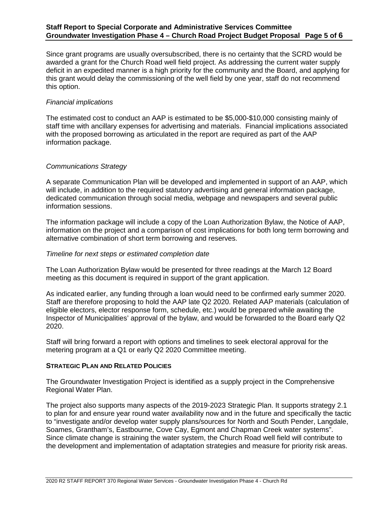Since grant programs are usually oversubscribed, there is no certainty that the SCRD would be awarded a grant for the Church Road well field project. As addressing the current water supply deficit in an expedited manner is a high priority for the community and the Board, and applying for this grant would delay the commissioning of the well field by one year, staff do not recommend this option.

## *Financial implications*

The estimated cost to conduct an AAP is estimated to be \$5,000-\$10,000 consisting mainly of staff time with ancillary expenses for advertising and materials. Financial implications associated with the proposed borrowing as articulated in the report are required as part of the AAP information package.

## *Communications Strategy*

A separate Communication Plan will be developed and implemented in support of an AAP, which will include, in addition to the required statutory advertising and general information package, dedicated communication through social media, webpage and newspapers and several public information sessions.

The information package will include a copy of the Loan Authorization Bylaw, the Notice of AAP, information on the project and a comparison of cost implications for both long term borrowing and alternative combination of short term borrowing and reserves.

### *Timeline for next steps or estimated completion date*

The Loan Authorization Bylaw would be presented for three readings at the March 12 Board meeting as this document is required in support of the grant application.

As indicated earlier, any funding through a loan would need to be confirmed early summer 2020. Staff are therefore proposing to hold the AAP late Q2 2020. Related AAP materials (calculation of eligible electors, elector response form, schedule, etc.) would be prepared while awaiting the Inspector of Municipalities' approval of the bylaw, and would be forwarded to the Board early Q2 2020.

Staff will bring forward a report with options and timelines to seek electoral approval for the metering program at a Q1 or early Q2 2020 Committee meeting.

### **STRATEGIC PLAN AND RELATED POLICIES**

The Groundwater Investigation Project is identified as a supply project in the Comprehensive Regional Water Plan.

The project also supports many aspects of the 2019-2023 Strategic Plan. It supports strategy 2.1 to plan for and ensure year round water availability now and in the future and specifically the tactic to "investigate and/or develop water supply plans/sources for North and South Pender, Langdale, Soames, Grantham's, Eastbourne, Cove Cay, Egmont and Chapman Creek water systems". Since climate change is straining the water system, the Church Road well field will contribute to the development and implementation of adaptation strategies and measure for priority risk areas.